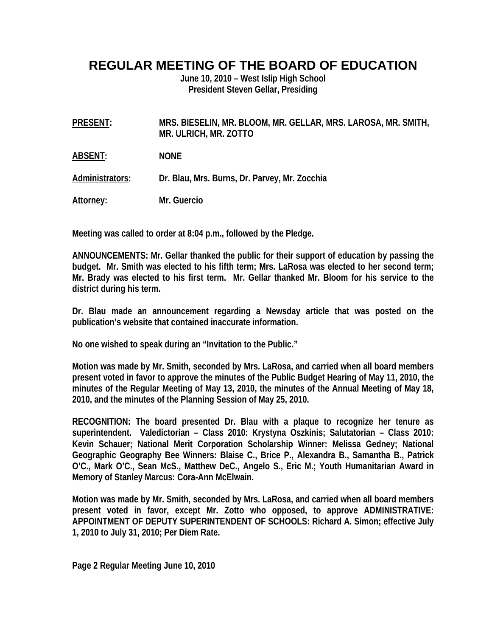## **REGULAR MEETING OF THE BOARD OF EDUCATION**

**June 10, 2010 – West Islip High School President Steven Gellar, Presiding** 

**PRESENT: MRS. BIESELIN, MR. BLOOM, MR. GELLAR, MRS. LAROSA, MR. SMITH, MR. ULRICH, MR. ZOTTO** 

**ABSENT: NONE** 

**Administrators: Dr. Blau, Mrs. Burns, Dr. Parvey, Mr. Zocchia** 

**Attorney: Mr. Guercio** 

**Meeting was called to order at 8:04 p.m., followed by the Pledge.** 

**ANNOUNCEMENTS: Mr. Gellar thanked the public for their support of education by passing the budget. Mr. Smith was elected to his fifth term; Mrs. LaRosa was elected to her second term; Mr. Brady was elected to his first term. Mr. Gellar thanked Mr. Bloom for his service to the district during his term.** 

**Dr. Blau made an announcement regarding a Newsday article that was posted on the publication's website that contained inaccurate information.** 

**No one wished to speak during an "Invitation to the Public."** 

**Motion was made by Mr. Smith, seconded by Mrs. LaRosa, and carried when all board members present voted in favor to approve the minutes of the Public Budget Hearing of May 11, 2010, the minutes of the Regular Meeting of May 13, 2010, the minutes of the Annual Meeting of May 18, 2010, and the minutes of the Planning Session of May 25, 2010.** 

**RECOGNITION: The board presented Dr. Blau with a plaque to recognize her tenure as superintendent. Valedictorian – Class 2010: Krystyna Oszkinis; Salutatorian – Class 2010: Kevin Schauer; National Merit Corporation Scholarship Winner: Melissa Gedney; National Geographic Geography Bee Winners: Blaise C., Brice P., Alexandra B., Samantha B., Patrick O'C., Mark O'C., Sean McS., Matthew DeC., Angelo S., Eric M.; Youth Humanitarian Award in Memory of Stanley Marcus: Cora-Ann McElwain.** 

**Motion was made by Mr. Smith, seconded by Mrs. LaRosa, and carried when all board members present voted in favor, except Mr. Zotto who opposed, to approve ADMINISTRATIVE: APPOINTMENT OF DEPUTY SUPERINTENDENT OF SCHOOLS: Richard A. Simon; effective July 1, 2010 to July 31, 2010; Per Diem Rate.** 

**Page 2 Regular Meeting June 10, 2010**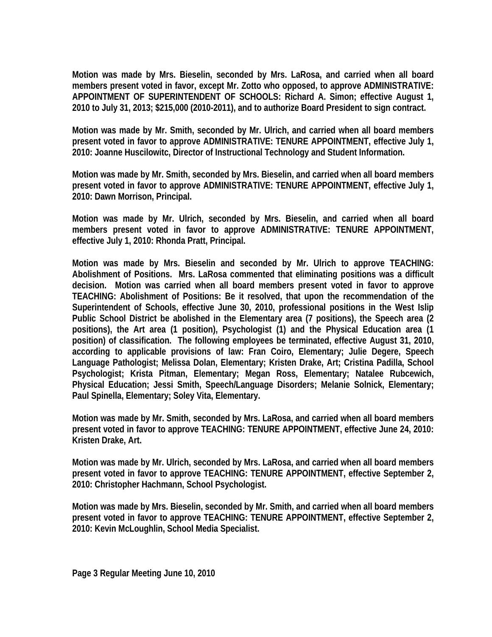**Motion was made by Mrs. Bieselin, seconded by Mrs. LaRosa, and carried when all board members present voted in favor, except Mr. Zotto who opposed, to approve ADMINISTRATIVE: APPOINTMENT OF SUPERINTENDENT OF SCHOOLS: Richard A. Simon; effective August 1, 2010 to July 31, 2013; \$215,000 (2010-2011), and to authorize Board President to sign contract.** 

**Motion was made by Mr. Smith, seconded by Mr. Ulrich, and carried when all board members present voted in favor to approve ADMINISTRATIVE: TENURE APPOINTMENT, effective July 1, 2010: Joanne Huscilowitc, Director of Instructional Technology and Student Information.** 

**Motion was made by Mr. Smith, seconded by Mrs. Bieselin, and carried when all board members present voted in favor to approve ADMINISTRATIVE: TENURE APPOINTMENT, effective July 1, 2010: Dawn Morrison, Principal.** 

**Motion was made by Mr. Ulrich, seconded by Mrs. Bieselin, and carried when all board members present voted in favor to approve ADMINISTRATIVE: TENURE APPOINTMENT, effective July 1, 2010: Rhonda Pratt, Principal.** 

**Motion was made by Mrs. Bieselin and seconded by Mr. Ulrich to approve TEACHING: Abolishment of Positions. Mrs. LaRosa commented that eliminating positions was a difficult decision. Motion was carried when all board members present voted in favor to approve TEACHING: Abolishment of Positions: Be it resolved, that upon the recommendation of the Superintendent of Schools, effective June 30, 2010, professional positions in the West Islip Public School District be abolished in the Elementary area (7 positions), the Speech area (2 positions), the Art area (1 position), Psychologist (1) and the Physical Education area (1 position) of classification. The following employees be terminated, effective August 31, 2010, according to applicable provisions of law: Fran Coiro, Elementary; Julie Degere, Speech Language Pathologist; Melissa Dolan, Elementary; Kristen Drake, Art; Cristina Padilla, School Psychologist; Krista Pitman, Elementary; Megan Ross, Elementary; Natalee Rubcewich, Physical Education; Jessi Smith, Speech/Language Disorders; Melanie Solnick, Elementary; Paul Spinella, Elementary; Soley Vita, Elementary.** 

**Motion was made by Mr. Smith, seconded by Mrs. LaRosa, and carried when all board members present voted in favor to approve TEACHING: TENURE APPOINTMENT, effective June 24, 2010: Kristen Drake, Art.** 

**Motion was made by Mr. Ulrich, seconded by Mrs. LaRosa, and carried when all board members present voted in favor to approve TEACHING: TENURE APPOINTMENT, effective September 2, 2010: Christopher Hachmann, School Psychologist.** 

**Motion was made by Mrs. Bieselin, seconded by Mr. Smith, and carried when all board members present voted in favor to approve TEACHING: TENURE APPOINTMENT, effective September 2, 2010: Kevin McLoughlin, School Media Specialist.**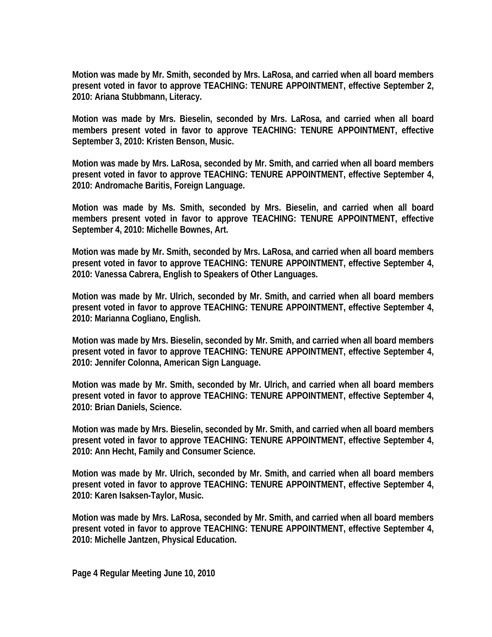**Motion was made by Mr. Smith, seconded by Mrs. LaRosa, and carried when all board members present voted in favor to approve TEACHING: TENURE APPOINTMENT, effective September 2, 2010: Ariana Stubbmann, Literacy.** 

**Motion was made by Mrs. Bieselin, seconded by Mrs. LaRosa, and carried when all board members present voted in favor to approve TEACHING: TENURE APPOINTMENT, effective September 3, 2010: Kristen Benson, Music.** 

**Motion was made by Mrs. LaRosa, seconded by Mr. Smith, and carried when all board members present voted in favor to approve TEACHING: TENURE APPOINTMENT, effective September 4, 2010: Andromache Baritis, Foreign Language.** 

**Motion was made by Ms. Smith, seconded by Mrs. Bieselin, and carried when all board members present voted in favor to approve TEACHING: TENURE APPOINTMENT, effective September 4, 2010: Michelle Bownes, Art.** 

**Motion was made by Mr. Smith, seconded by Mrs. LaRosa, and carried when all board members present voted in favor to approve TEACHING: TENURE APPOINTMENT, effective September 4, 2010: Vanessa Cabrera, English to Speakers of Other Languages.** 

**Motion was made by Mr. Ulrich, seconded by Mr. Smith, and carried when all board members present voted in favor to approve TEACHING: TENURE APPOINTMENT, effective September 4, 2010: Marianna Cogliano, English.** 

**Motion was made by Mrs. Bieselin, seconded by Mr. Smith, and carried when all board members present voted in favor to approve TEACHING: TENURE APPOINTMENT, effective September 4, 2010: Jennifer Colonna, American Sign Language.** 

**Motion was made by Mr. Smith, seconded by Mr. Ulrich, and carried when all board members present voted in favor to approve TEACHING: TENURE APPOINTMENT, effective September 4, 2010: Brian Daniels, Science.** 

**Motion was made by Mrs. Bieselin, seconded by Mr. Smith, and carried when all board members present voted in favor to approve TEACHING: TENURE APPOINTMENT, effective September 4, 2010: Ann Hecht, Family and Consumer Science.** 

**Motion was made by Mr. Ulrich, seconded by Mr. Smith, and carried when all board members present voted in favor to approve TEACHING: TENURE APPOINTMENT, effective September 4, 2010: Karen Isaksen-Taylor, Music.** 

**Motion was made by Mrs. LaRosa, seconded by Mr. Smith, and carried when all board members present voted in favor to approve TEACHING: TENURE APPOINTMENT, effective September 4, 2010: Michelle Jantzen, Physical Education.**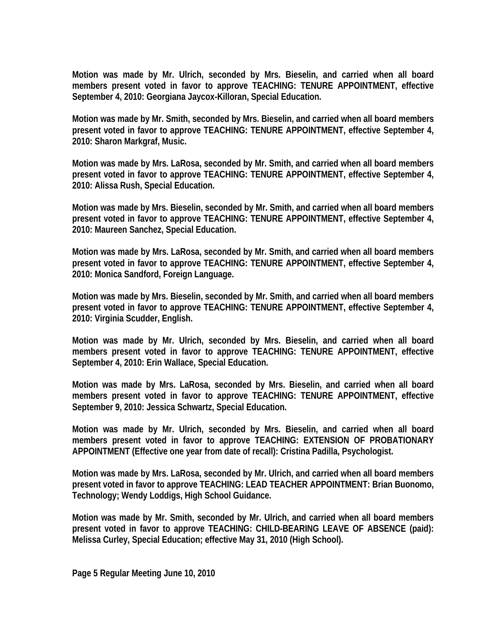**Motion was made by Mr. Ulrich, seconded by Mrs. Bieselin, and carried when all board members present voted in favor to approve TEACHING: TENURE APPOINTMENT, effective September 4, 2010: Georgiana Jaycox-Killoran, Special Education.** 

**Motion was made by Mr. Smith, seconded by Mrs. Bieselin, and carried when all board members present voted in favor to approve TEACHING: TENURE APPOINTMENT, effective September 4, 2010: Sharon Markgraf, Music.** 

**Motion was made by Mrs. LaRosa, seconded by Mr. Smith, and carried when all board members present voted in favor to approve TEACHING: TENURE APPOINTMENT, effective September 4, 2010: Alissa Rush, Special Education.** 

**Motion was made by Mrs. Bieselin, seconded by Mr. Smith, and carried when all board members present voted in favor to approve TEACHING: TENURE APPOINTMENT, effective September 4, 2010: Maureen Sanchez, Special Education.** 

**Motion was made by Mrs. LaRosa, seconded by Mr. Smith, and carried when all board members present voted in favor to approve TEACHING: TENURE APPOINTMENT, effective September 4, 2010: Monica Sandford, Foreign Language.** 

**Motion was made by Mrs. Bieselin, seconded by Mr. Smith, and carried when all board members present voted in favor to approve TEACHING: TENURE APPOINTMENT, effective September 4, 2010: Virginia Scudder, English.** 

**Motion was made by Mr. Ulrich, seconded by Mrs. Bieselin, and carried when all board members present voted in favor to approve TEACHING: TENURE APPOINTMENT, effective September 4, 2010: Erin Wallace, Special Education.** 

**Motion was made by Mrs. LaRosa, seconded by Mrs. Bieselin, and carried when all board members present voted in favor to approve TEACHING: TENURE APPOINTMENT, effective September 9, 2010: Jessica Schwartz, Special Education.** 

**Motion was made by Mr. Ulrich, seconded by Mrs. Bieselin, and carried when all board members present voted in favor to approve TEACHING: EXTENSION OF PROBATIONARY APPOINTMENT (Effective one year from date of recall): Cristina Padilla, Psychologist.** 

**Motion was made by Mrs. LaRosa, seconded by Mr. Ulrich, and carried when all board members present voted in favor to approve TEACHING: LEAD TEACHER APPOINTMENT: Brian Buonomo, Technology; Wendy Loddigs, High School Guidance.** 

**Motion was made by Mr. Smith, seconded by Mr. Ulrich, and carried when all board members present voted in favor to approve TEACHING: CHILD-BEARING LEAVE OF ABSENCE (paid): Melissa Curley, Special Education; effective May 31, 2010 (High School).**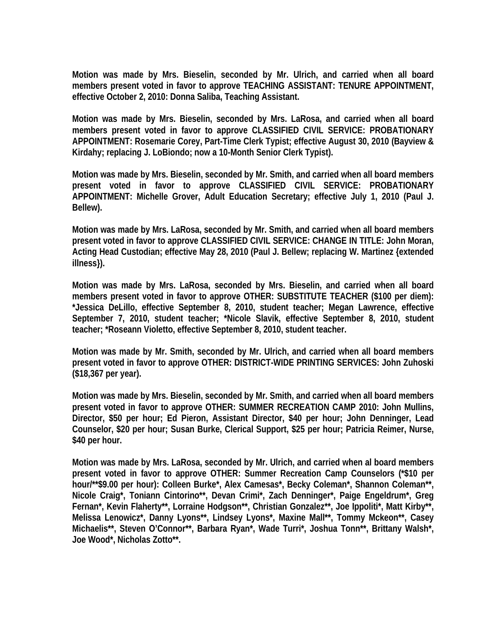**Motion was made by Mrs. Bieselin, seconded by Mr. Ulrich, and carried when all board members present voted in favor to approve TEACHING ASSISTANT: TENURE APPOINTMENT, effective October 2, 2010: Donna Saliba, Teaching Assistant.** 

**Motion was made by Mrs. Bieselin, seconded by Mrs. LaRosa, and carried when all board members present voted in favor to approve CLASSIFIED CIVIL SERVICE: PROBATIONARY APPOINTMENT: Rosemarie Corey, Part-Time Clerk Typist; effective August 30, 2010 (Bayview & Kirdahy; replacing J. LoBiondo; now a 10-Month Senior Clerk Typist).** 

**Motion was made by Mrs. Bieselin, seconded by Mr. Smith, and carried when all board members present voted in favor to approve CLASSIFIED CIVIL SERVICE: PROBATIONARY APPOINTMENT: Michelle Grover, Adult Education Secretary; effective July 1, 2010 (Paul J. Bellew).** 

**Motion was made by Mrs. LaRosa, seconded by Mr. Smith, and carried when all board members present voted in favor to approve CLASSIFIED CIVIL SERVICE: CHANGE IN TITLE: John Moran, Acting Head Custodian; effective May 28, 2010 (Paul J. Bellew; replacing W. Martinez {extended illness}).** 

**Motion was made by Mrs. LaRosa, seconded by Mrs. Bieselin, and carried when all board members present voted in favor to approve OTHER: SUBSTITUTE TEACHER (\$100 per diem): \*Jessica DeLillo, effective September 8, 2010, student teacher; Megan Lawrence, effective September 7, 2010, student teacher; \*Nicole Slavik, effective September 8, 2010, student teacher; \*Roseann Violetto, effective September 8, 2010, student teacher.** 

**Motion was made by Mr. Smith, seconded by Mr. Ulrich, and carried when all board members present voted in favor to approve OTHER: DISTRICT-WIDE PRINTING SERVICES: John Zuhoski (\$18,367 per year).** 

**Motion was made by Mrs. Bieselin, seconded by Mr. Smith, and carried when all board members present voted in favor to approve OTHER: SUMMER RECREATION CAMP 2010: John Mullins, Director, \$50 per hour; Ed Pieron, Assistant Director, \$40 per hour; John Denninger, Lead Counselor, \$20 per hour; Susan Burke, Clerical Support, \$25 per hour; Patricia Reimer, Nurse, \$40 per hour.** 

**Motion was made by Mrs. LaRosa, seconded by Mr. Ulrich, and carried when al board members present voted in favor to approve OTHER: Summer Recreation Camp Counselors (\*\$10 per hour/\*\*\$9.00 per hour): Colleen Burke\*, Alex Camesas\*, Becky Coleman\*, Shannon Coleman\*\*, Nicole Craig\*, Toniann Cintorino\*\*, Devan Crimi\*, Zach Denninger\*, Paige Engeldrum\*, Greg Fernan\*, Kevin Flaherty\*\*, Lorraine Hodgson\*\*, Christian Gonzalez\*\*, Joe Ippoliti\*, Matt Kirby\*\*, Melissa Lenowicz\*, Danny Lyons\*\*, Lindsey Lyons\*, Maxine Mall\*\*, Tommy Mckeon\*\*, Casey Michaelis\*\*, Steven O'Connor\*\*, Barbara Ryan\*, Wade Turri\*, Joshua Tonn\*\*, Brittany Walsh\*, Joe Wood\*, Nicholas Zotto\*\*.**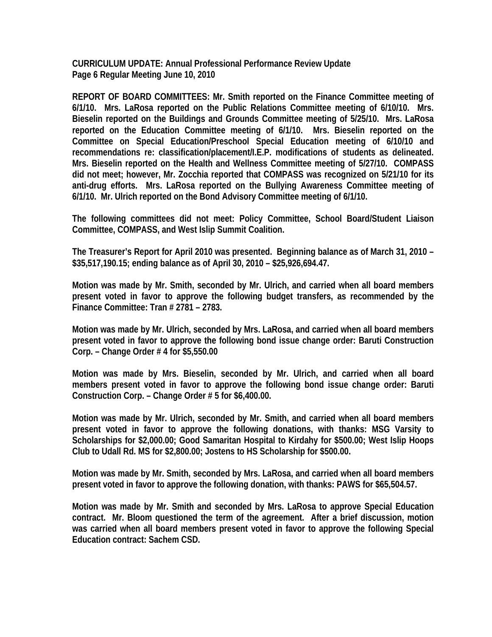**CURRICULUM UPDATE: Annual Professional Performance Review Update Page 6 Regular Meeting June 10, 2010** 

**REPORT OF BOARD COMMITTEES: Mr. Smith reported on the Finance Committee meeting of 6/1/10. Mrs. LaRosa reported on the Public Relations Committee meeting of 6/10/10. Mrs. Bieselin reported on the Buildings and Grounds Committee meeting of 5/25/10. Mrs. LaRosa reported on the Education Committee meeting of 6/1/10. Mrs. Bieselin reported on the Committee on Special Education/Preschool Special Education meeting of 6/10/10 and recommendations re: classification/placement/I.E.P. modifications of students as delineated. Mrs. Bieselin reported on the Health and Wellness Committee meeting of 5/27/10. COMPASS did not meet; however, Mr. Zocchia reported that COMPASS was recognized on 5/21/10 for its anti-drug efforts. Mrs. LaRosa reported on the Bullying Awareness Committee meeting of 6/1/10. Mr. Ulrich reported on the Bond Advisory Committee meeting of 6/1/10.** 

**The following committees did not meet: Policy Committee, School Board/Student Liaison Committee, COMPASS, and West Islip Summit Coalition.** 

**The Treasurer's Report for April 2010 was presented. Beginning balance as of March 31, 2010 – \$35,517,190.15; ending balance as of April 30, 2010 – \$25,926,694.47.** 

**Motion was made by Mr. Smith, seconded by Mr. Ulrich, and carried when all board members present voted in favor to approve the following budget transfers, as recommended by the Finance Committee: Tran # 2781 – 2783.** 

**Motion was made by Mr. Ulrich, seconded by Mrs. LaRosa, and carried when all board members present voted in favor to approve the following bond issue change order: Baruti Construction Corp. – Change Order # 4 for \$5,550.00** 

**Motion was made by Mrs. Bieselin, seconded by Mr. Ulrich, and carried when all board members present voted in favor to approve the following bond issue change order: Baruti Construction Corp. – Change Order # 5 for \$6,400.00.** 

**Motion was made by Mr. Ulrich, seconded by Mr. Smith, and carried when all board members present voted in favor to approve the following donations, with thanks: MSG Varsity to Scholarships for \$2,000.00; Good Samaritan Hospital to Kirdahy for \$500.00; West Islip Hoops Club to Udall Rd. MS for \$2,800.00; Jostens to HS Scholarship for \$500.00.** 

**Motion was made by Mr. Smith, seconded by Mrs. LaRosa, and carried when all board members present voted in favor to approve the following donation, with thanks: PAWS for \$65,504.57.** 

**Motion was made by Mr. Smith and seconded by Mrs. LaRosa to approve Special Education contract. Mr. Bloom questioned the term of the agreement. After a brief discussion, motion was carried when all board members present voted in favor to approve the following Special Education contract: Sachem CSD.**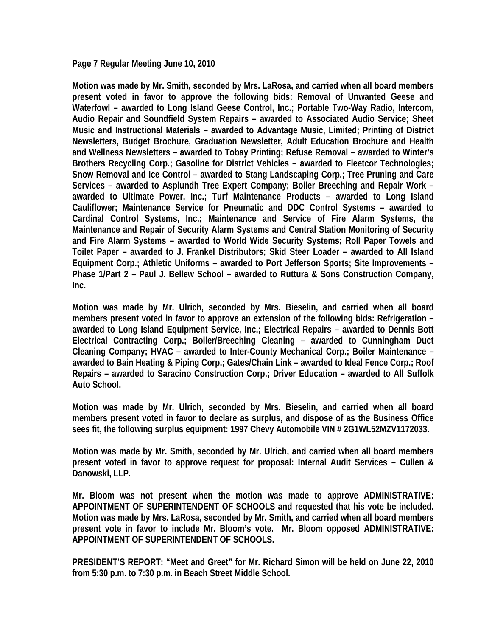**Page 7 Regular Meeting June 10, 2010** 

**Motion was made by Mr. Smith, seconded by Mrs. LaRosa, and carried when all board members present voted in favor to approve the following bids: Removal of Unwanted Geese and Waterfowl – awarded to Long Island Geese Control, Inc.; Portable Two-Way Radio, Intercom, Audio Repair and Soundfield System Repairs – awarded to Associated Audio Service; Sheet Music and Instructional Materials – awarded to Advantage Music, Limited; Printing of District Newsletters, Budget Brochure, Graduation Newsletter, Adult Education Brochure and Health and Wellness Newsletters – awarded to Tobay Printing; Refuse Removal – awarded to Winter's Brothers Recycling Corp.; Gasoline for District Vehicles – awarded to Fleetcor Technologies; Snow Removal and Ice Control – awarded to Stang Landscaping Corp.; Tree Pruning and Care Services – awarded to Asplundh Tree Expert Company; Boiler Breeching and Repair Work – awarded to Ultimate Power, Inc.; Turf Maintenance Products – awarded to Long Island Cauliflower; Maintenance Service for Pneumatic and DDC Control Systems – awarded to Cardinal Control Systems, Inc.; Maintenance and Service of Fire Alarm Systems, the Maintenance and Repair of Security Alarm Systems and Central Station Monitoring of Security and Fire Alarm Systems – awarded to World Wide Security Systems; Roll Paper Towels and Toilet Paper – awarded to J. Frankel Distributors; Skid Steer Loader – awarded to All Island Equipment Corp.; Athletic Uniforms – awarded to Port Jefferson Sports; Site Improvements – Phase 1/Part 2 – Paul J. Bellew School – awarded to Ruttura & Sons Construction Company, Inc.** 

**Motion was made by Mr. Ulrich, seconded by Mrs. Bieselin, and carried when all board members present voted in favor to approve an extension of the following bids: Refrigeration – awarded to Long Island Equipment Service, Inc.; Electrical Repairs – awarded to Dennis Bott Electrical Contracting Corp.; Boiler/Breeching Cleaning – awarded to Cunningham Duct Cleaning Company; HVAC – awarded to Inter-County Mechanical Corp.; Boiler Maintenance – awarded to Bain Heating & Piping Corp.; Gates/Chain Link – awarded to Ideal Fence Corp.; Roof Repairs – awarded to Saracino Construction Corp.; Driver Education – awarded to All Suffolk Auto School.** 

**Motion was made by Mr. Ulrich, seconded by Mrs. Bieselin, and carried when all board members present voted in favor to declare as surplus, and dispose of as the Business Office sees fit, the following surplus equipment: 1997 Chevy Automobile VIN # 2G1WL52MZV1172033.** 

**Motion was made by Mr. Smith, seconded by Mr. Ulrich, and carried when all board members present voted in favor to approve request for proposal: Internal Audit Services – Cullen & Danowski, LLP.** 

**Mr. Bloom was not present when the motion was made to approve ADMINISTRATIVE: APPOINTMENT OF SUPERINTENDENT OF SCHOOLS and requested that his vote be included. Motion was made by Mrs. LaRosa, seconded by Mr. Smith, and carried when all board members present vote in favor to include Mr. Bloom's vote. Mr. Bloom opposed ADMINISTRATIVE: APPOINTMENT OF SUPERINTENDENT OF SCHOOLS.** 

**PRESIDENT'S REPORT: "Meet and Greet" for Mr. Richard Simon will be held on June 22, 2010 from 5:30 p.m. to 7:30 p.m. in Beach Street Middle School.**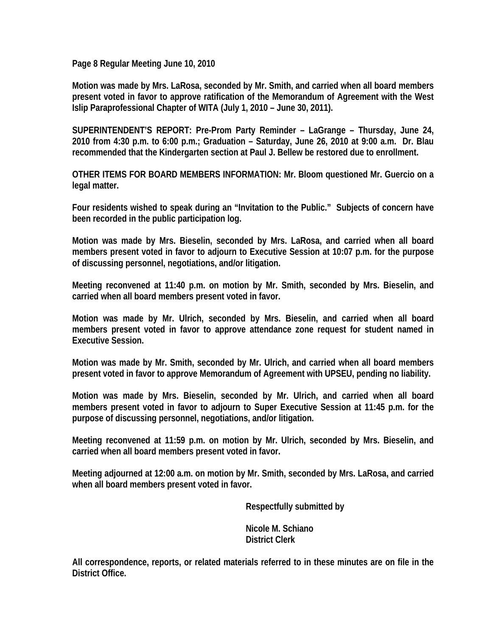**Page 8 Regular Meeting June 10, 2010** 

**Motion was made by Mrs. LaRosa, seconded by Mr. Smith, and carried when all board members present voted in favor to approve ratification of the Memorandum of Agreement with the West Islip Paraprofessional Chapter of WITA (July 1, 2010 – June 30, 2011).** 

**SUPERINTENDENT'S REPORT: Pre-Prom Party Reminder – LaGrange – Thursday, June 24, 2010 from 4:30 p.m. to 6:00 p.m.; Graduation – Saturday, June 26, 2010 at 9:00 a.m. Dr. Blau recommended that the Kindergarten section at Paul J. Bellew be restored due to enrollment.** 

**OTHER ITEMS FOR BOARD MEMBERS INFORMATION: Mr. Bloom questioned Mr. Guercio on a legal matter.** 

**Four residents wished to speak during an "Invitation to the Public." Subjects of concern have been recorded in the public participation log.** 

**Motion was made by Mrs. Bieselin, seconded by Mrs. LaRosa, and carried when all board members present voted in favor to adjourn to Executive Session at 10:07 p.m. for the purpose of discussing personnel, negotiations, and/or litigation.** 

**Meeting reconvened at 11:40 p.m. on motion by Mr. Smith, seconded by Mrs. Bieselin, and carried when all board members present voted in favor.** 

**Motion was made by Mr. Ulrich, seconded by Mrs. Bieselin, and carried when all board members present voted in favor to approve attendance zone request for student named in Executive Session.** 

**Motion was made by Mr. Smith, seconded by Mr. Ulrich, and carried when all board members present voted in favor to approve Memorandum of Agreement with UPSEU, pending no liability.** 

**Motion was made by Mrs. Bieselin, seconded by Mr. Ulrich, and carried when all board members present voted in favor to adjourn to Super Executive Session at 11:45 p.m. for the purpose of discussing personnel, negotiations, and/or litigation.** 

**Meeting reconvened at 11:59 p.m. on motion by Mr. Ulrich, seconded by Mrs. Bieselin, and carried when all board members present voted in favor.** 

**Meeting adjourned at 12:00 a.m. on motion by Mr. Smith, seconded by Mrs. LaRosa, and carried when all board members present voted in favor.** 

 **Respectfully submitted by** 

 **Nicole M. Schiano District Clerk** 

**All correspondence, reports, or related materials referred to in these minutes are on file in the District Office.**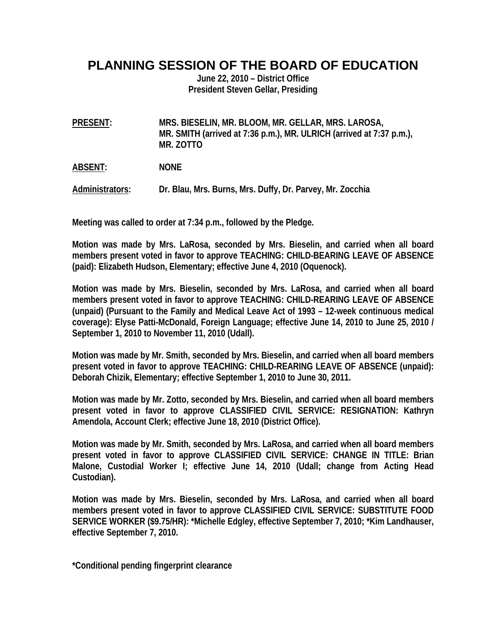## **PLANNING SESSION OF THE BOARD OF EDUCATION**

**June 22, 2010 – District Office President Steven Gellar, Presiding** 

**PRESENT: MRS. BIESELIN, MR. BLOOM, MR. GELLAR, MRS. LAROSA, MR. SMITH (arrived at 7:36 p.m.), MR. ULRICH (arrived at 7:37 p.m.), MR. ZOTTO** 

**ABSENT: NONE** 

**Administrators: Dr. Blau, Mrs. Burns, Mrs. Duffy, Dr. Parvey, Mr. Zocchia** 

**Meeting was called to order at 7:34 p.m., followed by the Pledge.** 

**Motion was made by Mrs. LaRosa, seconded by Mrs. Bieselin, and carried when all board members present voted in favor to approve TEACHING: CHILD-BEARING LEAVE OF ABSENCE (paid): Elizabeth Hudson, Elementary; effective June 4, 2010 (Oquenock).** 

**Motion was made by Mrs. Bieselin, seconded by Mrs. LaRosa, and carried when all board members present voted in favor to approve TEACHING: CHILD-REARING LEAVE OF ABSENCE (unpaid) (Pursuant to the Family and Medical Leave Act of 1993 – 12-week continuous medical coverage): Elyse Patti-McDonald, Foreign Language; effective June 14, 2010 to June 25, 2010 / September 1, 2010 to November 11, 2010 (Udall).** 

**Motion was made by Mr. Smith, seconded by Mrs. Bieselin, and carried when all board members present voted in favor to approve TEACHING: CHILD-REARING LEAVE OF ABSENCE (unpaid): Deborah Chizik, Elementary; effective September 1, 2010 to June 30, 2011.** 

**Motion was made by Mr. Zotto, seconded by Mrs. Bieselin, and carried when all board members present voted in favor to approve CLASSIFIED CIVIL SERVICE: RESIGNATION: Kathryn Amendola, Account Clerk; effective June 18, 2010 (District Office).** 

**Motion was made by Mr. Smith, seconded by Mrs. LaRosa, and carried when all board members present voted in favor to approve CLASSIFIED CIVIL SERVICE: CHANGE IN TITLE: Brian Malone, Custodial Worker I; effective June 14, 2010 (Udall; change from Acting Head Custodian).** 

**Motion was made by Mrs. Bieselin, seconded by Mrs. LaRosa, and carried when all board members present voted in favor to approve CLASSIFIED CIVIL SERVICE: SUBSTITUTE FOOD SERVICE WORKER (\$9.75/HR): \*Michelle Edgley, effective September 7, 2010; \*Kim Landhauser, effective September 7, 2010.** 

**\*Conditional pending fingerprint clearance**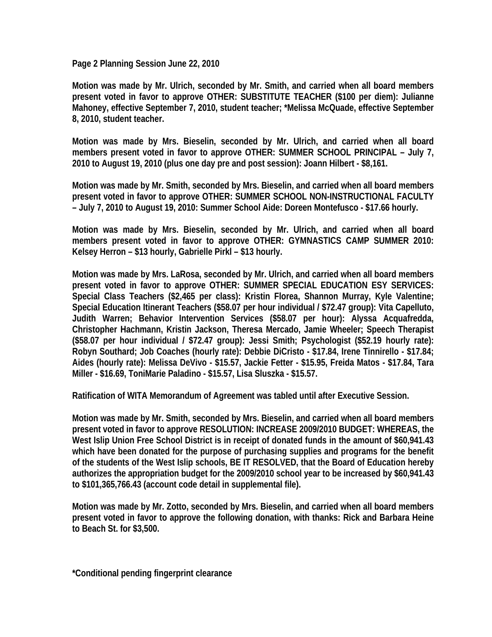**Page 2 Planning Session June 22, 2010** 

**Motion was made by Mr. Ulrich, seconded by Mr. Smith, and carried when all board members present voted in favor to approve OTHER: SUBSTITUTE TEACHER (\$100 per diem): Julianne Mahoney, effective September 7, 2010, student teacher; \*Melissa McQuade, effective September 8, 2010, student teacher.** 

**Motion was made by Mrs. Bieselin, seconded by Mr. Ulrich, and carried when all board members present voted in favor to approve OTHER: SUMMER SCHOOL PRINCIPAL – July 7, 2010 to August 19, 2010 (plus one day pre and post session): Joann Hilbert - \$8,161.** 

**Motion was made by Mr. Smith, seconded by Mrs. Bieselin, and carried when all board members present voted in favor to approve OTHER: SUMMER SCHOOL NON-INSTRUCTIONAL FACULTY – July 7, 2010 to August 19, 2010: Summer School Aide: Doreen Montefusco - \$17.66 hourly.** 

**Motion was made by Mrs. Bieselin, seconded by Mr. Ulrich, and carried when all board members present voted in favor to approve OTHER: GYMNASTICS CAMP SUMMER 2010: Kelsey Herron – \$13 hourly, Gabrielle Pirkl – \$13 hourly.** 

**Motion was made by Mrs. LaRosa, seconded by Mr. Ulrich, and carried when all board members present voted in favor to approve OTHER: SUMMER SPECIAL EDUCATION ESY SERVICES: Special Class Teachers (\$2,465 per class): Kristin Florea, Shannon Murray, Kyle Valentine; Special Education Itinerant Teachers (\$58.07 per hour individual / \$72.47 group): Vita Capelluto, Judith Warren; Behavior Intervention Services (\$58.07 per hour): Alyssa Acquafredda, Christopher Hachmann, Kristin Jackson, Theresa Mercado, Jamie Wheeler; Speech Therapist (\$58.07 per hour individual / \$72.47 group): Jessi Smith; Psychologist (\$52.19 hourly rate): Robyn Southard; Job Coaches (hourly rate): Debbie DiCristo - \$17.84, Irene Tinnirello - \$17.84; Aides (hourly rate): Melissa DeVivo - \$15.57, Jackie Fetter - \$15.95, Freida Matos - \$17.84, Tara Miller - \$16.69, ToniMarie Paladino - \$15.57, Lisa Sluszka - \$15.57.** 

**Ratification of WITA Memorandum of Agreement was tabled until after Executive Session.** 

**Motion was made by Mr. Smith, seconded by Mrs. Bieselin, and carried when all board members present voted in favor to approve RESOLUTION: INCREASE 2009/2010 BUDGET: WHEREAS, the West Islip Union Free School District is in receipt of donated funds in the amount of \$60,941.43 which have been donated for the purpose of purchasing supplies and programs for the benefit of the students of the West Islip schools, BE IT RESOLVED, that the Board of Education hereby authorizes the appropriation budget for the 2009/2010 school year to be increased by \$60,941.43 to \$101,365,766.43 (account code detail in supplemental file).** 

**Motion was made by Mr. Zotto, seconded by Mrs. Bieselin, and carried when all board members present voted in favor to approve the following donation, with thanks: Rick and Barbara Heine to Beach St. for \$3,500.** 

**\*Conditional pending fingerprint clearance**